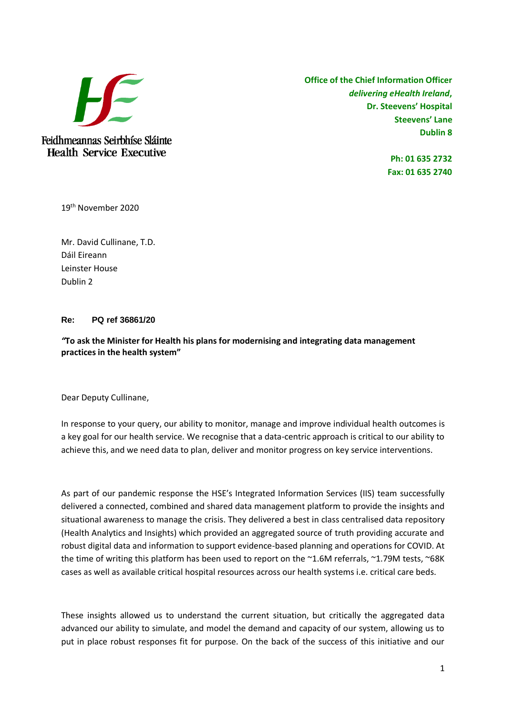

Feidhmeannas Seirbhíse Sláinte **Health Service Executive** 

**Office of the Chief Information Officer** *delivering eHealth Ireland***, Dr. Steevens' Hospital Steevens' Lane Dublin 8**

> **Ph: 01 635 2732 Fax: 01 635 2740**

19th November 2020

Mr. David Cullinane, T.D. Dáil Eireann Leinster House Dublin 2

## **Re: PQ ref 36861/20**

*"***To ask the Minister for Health his plans for modernising and integrating data management practices in the health system"**

Dear Deputy Cullinane,

In response to your query, our ability to monitor, manage and improve individual health outcomes is a key goal for our health service. We recognise that a data-centric approach is critical to our ability to achieve this, and we need data to plan, deliver and monitor progress on key service interventions.

As part of our pandemic response the HSE's Integrated Information Services (IIS) team successfully delivered a connected, combined and shared data management platform to provide the insights and situational awareness to manage the crisis. They delivered a best in class centralised data repository (Health Analytics and Insights) which provided an aggregated source of truth providing accurate and robust digital data and information to support evidence-based planning and operations for COVID. At the time of writing this platform has been used to report on the ~1.6M referrals, ~1.79M tests, ~68K cases as well as available critical hospital resources across our health systems i.e. critical care beds.

These insights allowed us to understand the current situation, but critically the aggregated data advanced our ability to simulate, and model the demand and capacity of our system, allowing us to put in place robust responses fit for purpose. On the back of the success of this initiative and our